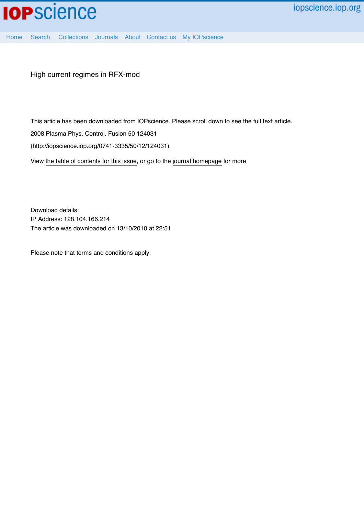

[Home](http://iopscience.iop.org/) [Search](http://iopscience.iop.org/search) [Collections](http://iopscience.iop.org/collections) [Journals](http://iopscience.iop.org/journals) [About](http://iopscience.iop.org/page/aboutioppublishing) [Contact us](http://iopscience.iop.org/contact) [My IOPscience](http://iopscience.iop.org/myiopscience)

High current regimes in RFX-mod

This article has been downloaded from IOPscience. Please scroll down to see the full text article. 2008 Plasma Phys. Control. Fusion 50 124031

(http://iopscience.iop.org/0741-3335/50/12/124031)

View [the table of contents for this issue](http://iopscience.iop.org/0741-3335/50/12), or go to the [journal homepage](http://iopscience.iop.org/0741-3335) for more

Download details: IP Address: 128.104.166.214 The article was downloaded on 13/10/2010 at 22:51

Please note that [terms and conditions apply.](http://iopscience.iop.org/page/terms)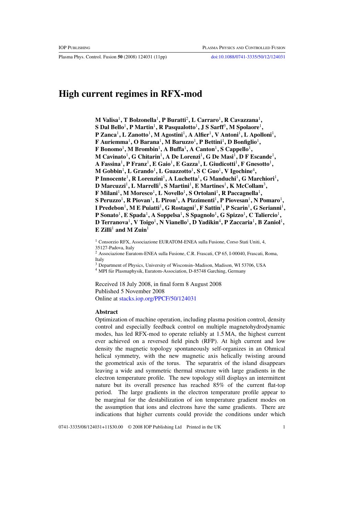# **High current regimes in RFX-mod**

**M Valisa**<sup>1</sup>**, T Bolzonella**<sup>1</sup>**, P Buratti**<sup>2</sup>**, L Carraro**<sup>1</sup>**, R Cavazzana**<sup>1</sup>**, S Dal Bello**<sup>1</sup>**, P Martin**<sup>1</sup>**, R Pasqualotto**<sup>1</sup>**, J S Sarff**<sup>3</sup>**, M Spolaore**<sup>1</sup>**, P Zanca**<sup>1</sup>**, L Zanotto**<sup>1</sup>**, M Agostini**<sup>1</sup>**, A Alfier**<sup>1</sup>**, V Antoni**<sup>1</sup>**, L Apolloni**<sup>1</sup>**, F Auriemma**<sup>1</sup>**, O Barana**<sup>1</sup>**, M Baruzzo**<sup>1</sup>**, P Bettini**<sup>1</sup>**, D Bonfiglio**<sup>1</sup>**, F Bonomo**<sup>1</sup>**, M Brombin**<sup>1</sup>**, A Buffa**<sup>1</sup>**, A Canton**<sup>1</sup>**, S Cappello**<sup>1</sup>**, M Cavinato**<sup>1</sup>**, G Chitarin**<sup>1</sup>**, A De Lorenzi**<sup>1</sup>**, G De Masi**<sup>1</sup>**, D F Escande**<sup>1</sup>**, A Fassina**<sup>1</sup>**, P Franz**<sup>1</sup>**, E Gaio**<sup>1</sup>**, E Gazza**<sup>1</sup>**, L Giudicotti**<sup>1</sup>**, F Gnesotto**<sup>1</sup>**, M Gobbin**<sup>1</sup>**, L Grando**<sup>1</sup>**, L Guazzotto**<sup>1</sup>**, S C Guo**<sup>1</sup>**, V Igochine**<sup>4</sup>**, P Innocente**<sup>1</sup>**, R Lorenzini**<sup>1</sup>**, A Luchetta**<sup>1</sup>**, G Manduchi**<sup>1</sup>**, G Marchiori**<sup>1</sup>**, D Marcuzzi**<sup>1</sup>**, L Marrelli**<sup>1</sup>**, S Martini**<sup>1</sup>**, E Martines**<sup>1</sup>**, K McCollam**<sup>3</sup>**, F Milani**<sup>1</sup>**, M Moresco**<sup>1</sup>**, L Novello**<sup>1</sup>**, S Ortolani**<sup>1</sup>**, R Paccagnella**<sup>1</sup>**, S Peruzzo**<sup>1</sup>**, R Piovan**<sup>1</sup>**, L Piron**<sup>1</sup>**, A Pizzimenti**<sup>1</sup>**, P Piovesan**<sup>1</sup>**, N Pomaro**<sup>1</sup>**, I Predebon**1**, M E Puiatti**1**, G Rostagni**1**, F Sattin**1**, P Scarin**1**, G Serianni**1**, P Sonato**1**, E Spada**1**, A Soppelsa**1**, S Spagnolo**1**, G Spizzo**1**, C Taliercio**1**, D Terranova**1**, V Toigo**1**, N Vianello**1**, D Yadikin**4**, P Zaccaria**1**, B Zaniol**1**, E** Zilli<sup>1</sup> and M Zuin<sup>1</sup>

<sup>1</sup> Consorzio RFX, Associazione EURATOM-ENEA sulla Fusione, Corso Stati Uniti, 4, 35127-Padova, Italy

<sup>2</sup> Associazione Euratom-ENEA sulla Fusione, C.R. Frascati, CP 65, I-00040, Frascati, Roma, Italy

<sup>3</sup> Department of Physics, University of Wisconsin–Madison, Madison, WI 53706, USA <sup>4</sup> MPI für Plasmaphysik, Euratom-Association, D-85748 Garching, Germany

Received 18 July 2008, in final form 8 August 2008 Published 5 November 2008 Online at [stacks.iop.org/PPCF/50/124031](http://stacks.iop.org/PPCF/50/124031)

#### **Abstract**

Optimization of machine operation, including plasma position control, density control and especially feedback control on multiple magnetohydrodynamic modes, has led RFX-mod to operate reliably at 1.5 MA, the highest current ever achieved on a reversed field pinch (RFP). At high current and low density the magnetic topology spontaneously self-organizes in an Ohmical helical symmetry, with the new magnetic axis helically twisting around the geometrical axis of the torus. The separatrix of the island disappears leaving a wide and symmetric thermal structure with large gradients in the electron temperature profile. The new topology still displays an intermittent nature but its overall presence has reached 85% of the current flat-top period. The large gradients in the electron temperature profile appear to be marginal for the destabilization of ion temperature gradient modes on the assumption that ions and electrons have the same gradients. There are indications that higher currents could provide the conditions under which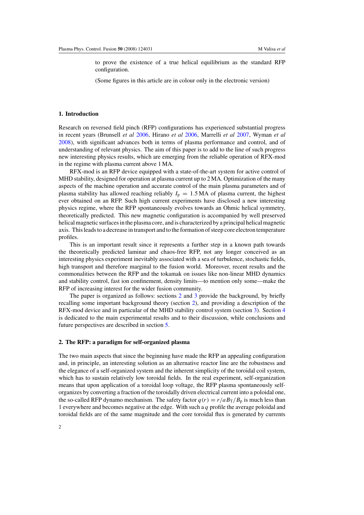to prove the existence of a true helical equilibrium as the standard RFP configuration.

(Some figures in this article are in colour only in the electronic version)

## **1. Introduction**

Research on reversed field pinch (RFP) configurations has experienced substantial progress in recent years (Brunsell *et al* [2006,](#page-11-0) Hirano *et al* [2006](#page-11-1), Marrelli *et al* [2007](#page-11-2), Wyman *et al* [2008\)](#page-11-3), with significant advances both in terms of plasma performance and control, and of understanding of relevant physics. The aim of this paper is to add to the line of such progress new interesting physics results, which are emerging from the reliable operation of RFX-mod in the regime with plasma current above 1 MA.

RFX-mod is an RFP device equipped with a state-of-the-art system for active control of MHD stability, designed for operation at plasma current up to 2 MA. Optimization of the many aspects of the machine operation and accurate control of the main plasma parameters and of plasma stability has allowed reaching reliably  $I_p = 1.5 \text{ MA}$  of plasma current, the highest ever obtained on an RFP. Such high current experiments have disclosed a new interesting physics regime, where the RFP spontaneously evolves towards an Ohmic helical symmetry, theoretically predicted. This new magnetic configuration is accompanied by well preserved helical magnetic surfaces in the plasma core, and is characterized by a principal helical magnetic axis. This leads to a decrease in transport and to the formation of steep core electron temperature profiles.

This is an important result since it represents a further step in a known path towards the theoretically predicted laminar and chaos-free RFP, not any longer conceived as an interesting physics experiment inevitably associated with a sea of turbulence, stochastic fields, high transport and therefore marginal to the fusion world. Moreover, recent results and the commonalities between the RFP and the tokamak on issues like non-linear MHD dynamics and stability control, fast ion confinement, density limits—to mention only some—make the RFP of increasing interest for the wider fusion community.

<span id="page-2-0"></span>The paper is organized as follows: sections [2](#page-2-0) and [3](#page-3-0) provide the background, by briefly recalling some important background theory (section [2\)](#page-2-0), and providing a description of the RFX-mod device and in particular of the MHD stability control system (section [3\)](#page-3-0). Section [4](#page-5-0) is dedicated to the main experimental results and to their discussion, while conclusions and future perspectives are described in section [5.](#page-10-0)

## **2. The RFP: a paradigm for self-organized plasma**

The two main aspects that since the beginning have made the RFP an appealing configuration and, in principle, an interesting solution as an alternative reactor line are the robustness and the elegance of a self-organized system and the inherent simplicity of the toroidal coil system, which has to sustain relatively low toroidal fields. In the real experiment, self-organization means that upon application of a toroidal loop voltage, the RFP plasma spontaneously selforganizes by converting a fraction of the toroidally driven electrical current into a poloidal one, the so-called RFP dynamo mechanism. The safety factor  $q(r) = r/aB_T/B_p$  is much less than 1 everywhere and becomes negative at the edge. With such a  $q$  profile the average poloidal and toroidal fields are of the same magnitude and the core toroidal flux is generated by currents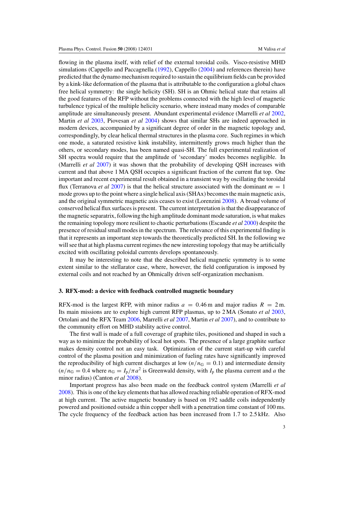flowing in the plasma itself, with relief of the external toroidal coils. Visco-resistive MHD simulations (Cappello and Paccagnella [\(1992](#page-11-4)), Cappello [\(2004\)](#page-11-5) and references therein) have predicted that the dynamo mechanism required to sustain the equilibrium fields can be provided by a kink-like deformation of the plasma that is attributable to the configuration a global chaos free helical symmetry: the single helicity (SH). SH is an Ohmic helical state that retains all the good features of the RFP without the problems connected with the high level of magnetic turbulence typical of the multiple helicity scenario, where instead many modes of comparable amplitude are simultaneously present. Abundant experimental evidence (Marrelli *et al* [2002](#page-11-6), Martin *et al* [2003](#page-11-7), Piovesan *et al* [2004](#page-11-8)) shows that similar SHs are indeed approached in modern devices, accompanied by a significant degree of order in the magnetic topology and, correspondingly, by clear helical thermal structures in the plasma core. Such regimes in which one mode, a saturated resistive kink instability, intermittently grows much higher than the others, or secondary modes, has been named quasi-SH. The full experimental realization of SH spectra would require that the amplitude of 'secondary' modes becomes negligible. In (Marrelli *et al* [2007](#page-11-2)) it was shown that the probability of developing QSH increases with current and that above 1 MA QSH occupies a significant fraction of the current flat top. One important and recent experimental result obtained in a transient way by oscillating the toroidal flux (Terranova *et al* [2007\)](#page-11-9) is that the helical structure associated with the dominant  $m = 1$ mode grows up to the point where a single helical axis (SHAx) becomes the main magnetic axis, and the original symmetric magnetic axis ceases to exist (Lorenzini [2008](#page-11-10)). A broad volume of conserved helical flux surfaces is present. The current interpretation is that the disappearance of the magnetic separatrix, following the high amplitude dominant mode saturation, is what makes the remaining topology more resilient to chaotic perturbations (Escande *et al* [2000\)](#page-11-11) despite the presence of residual small modes in the spectrum. The relevance of this experimental finding is that it represents an important step towards the theoretically predicted SH. In the following we will see that at high plasma current regimes the new interesting topology that may be artificially excited with oscillating poloidal currents develops spontaneously.

<span id="page-3-0"></span>It may be interesting to note that the described helical magnetic symmetry is to some extent similar to the stellarator case, where, however, the field configuration is imposed by external coils and not reached by an Ohmically driven self-organization mechanism.

#### **3. RFX-mod: a device with feedback controlled magnetic boundary**

RFX-mod is the largest RFP, with minor radius  $a = 0.46$  m and major radius  $R = 2$  m. Its main missions are to explore high current RFP plasmas, up to 2 MA (Sonato *et al* [2003](#page-11-12), Ortolani and the RFX Team [2006](#page-11-13), Marrelli *et al* [2007,](#page-11-2) Martin *et al* [2007](#page-11-14)), and to contribute to the community effort on MHD stability active control.

The first wall is made of a full coverage of graphite tiles, positioned and shaped in such a way as to minimize the probability of local hot spots. The presence of a large graphite surface makes density control not an easy task. Optimization of the current start-up with careful control of the plasma position and minimization of fueling rates have significantly improved the reproducibility of high current discharges at low  $(n/n<sub>G</sub> = 0.1)$  and intermediate density  $(n/n<sub>G</sub> = 0.4$  where  $n<sub>G</sub> = I<sub>p</sub>/\pi a<sup>2</sup>$  is Greenwald density, with  $I<sub>p</sub>$  the plasma current and a the minor radius) (Canton *et al* [2008\)](#page-11-15).

Important progress has also been made on the feedback control system (Marrelli *et al* [2008\)](#page-11-16). This is one of the key elements that has allowed reaching reliable operation of RFX-mod at high current. The active magnetic boundary is based on 192 saddle coils independently powered and positioned outside a thin copper shell with a penetration time constant of 100 ms. The cycle frequency of the feedback action has been increased from 1.7 to 2.5 kHz. Also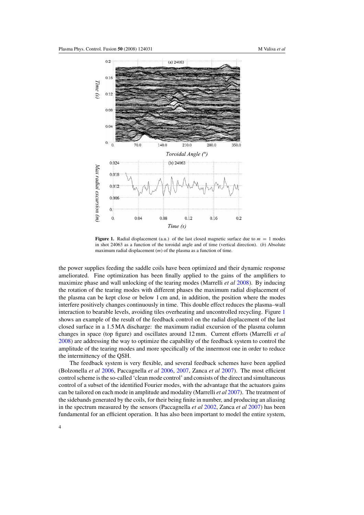<span id="page-4-0"></span>

**Figure 1.** Radial displacement (a.u.) of the last closed magnetic surface due to  $m = 1$  modes in shot 24063 as a function of the toroidal angle and of time (vertical direction). (b) Absolute maximum radial displacement  $(m)$  of the plasma as a function of time.

the power supplies feeding the saddle coils have been optimized and their dynamic response ameliorated. Fine optimization has been finally applied to the gains of the amplifiers to maximize phase and wall unlocking of the tearing modes (Marrelli *et al* [2008](#page-11-16)). By inducing the rotation of the tearing modes with different phases the maximum radial displacement of the plasma can be kept close or below 1 cm and, in addition, the position where the modes interfere positively changes continuously in time. This double effect reduces the plasma–wall interaction to bearable levels, avoiding tiles overheating and uncontrolled recycling. Figure [1](#page-4-0) shows an example of the result of the feedback control on the radial displacement of the last closed surface in a 1.5 MA discharge: the maximum radial excursion of the plasma column changes in space (top figure) and oscillates around 12 mm. Current efforts (Marrelli *et al* [2008\)](#page-11-16) are addressing the way to optimize the capability of the feedback system to control the amplitude of the tearing modes and more specifically of the innermost one in order to reduce the intermittency of the QSH.

The feedback system is very flexible, and several feedback schemes have been applied (Bolzonella *et al* [2006](#page-10-1), Paccagnella *et al* [2006](#page-11-17), [2007,](#page-11-18) Zanca *et al* [2007](#page-11-19)). The most efficient control scheme is the so-called 'clean mode control' and consists of the direct and simultaneous control of a subset of the identified Fourier modes, with the advantage that the actuators gains can be tailored on each mode in amplitude and modality (Marrelli *et al* [2007](#page-11-2)). The treatment of the sidebands generated by the coils, for their being finite in number, and producing an aliasing in the spectrum measured by the sensors (Paccagnella *et al* [2002,](#page-11-20) Zanca *et al* [2007\)](#page-11-19) has been fundamental for an efficient operation. It has also been important to model the entire system,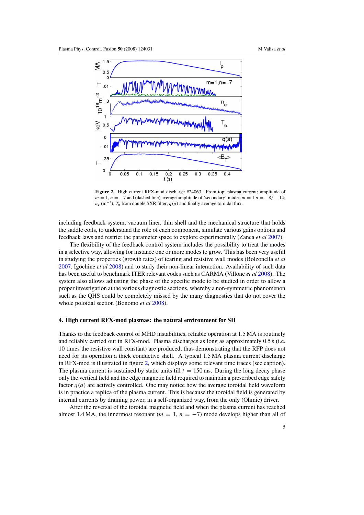<span id="page-5-1"></span>

**Figure 2.** High current RFX-mod discharge #24063. From top: plasma current; amplitude of  $m = 1$ ,  $n = -7$  and (dashed line) average amplitude of 'secondary' modes  $m = 1$   $n = -8/-14$ ;  $n_e$  (m<sup>-3</sup>);  $T_e$  from double SXR filter;  $q(a)$  and finally average toroidal flux.

including feedback system, vacuum liner, thin shell and the mechanical structure that holds the saddle coils, to understand the role of each component, simulate various gains options and feedback laws and restrict the parameter space to explore experimentally (Zanca *et al* [2007](#page-11-19)).

<span id="page-5-0"></span>The flexibility of the feedback control system includes the possibility to treat the modes in a selective way, allowing for instance one or more modes to grow. This has been very useful in studying the properties (growth rates) of tearing and resistive wall modes (Bolzonella *et al* [2007,](#page-10-2) Igochine *et al* [2008](#page-11-21)) and to study their non-linear interaction. Availability of such data has been useful to benchmark ITER relevant codes such as CARMA (Villone *et al* [2008\)](#page-11-22). The system also allows adjusting the phase of the specific mode to be studied in order to allow a proper investigation at the various diagnostic sections, whereby a non-symmetric phenomenon such as the QHS could be completely missed by the many diagnostics that do not cover the whole poloidal section (Bonomo *et al* [2008\)](#page-10-3).

# **4. High current RFX-mod plasmas: the natural environment for SH**

Thanks to the feedback control of MHD instabilities, reliable operation at 1.5 MA is routinely and reliably carried out in RFX-mod. Plasma discharges as long as approximately 0.5 s (i.e. 10 times the resistive wall constant) are produced, thus demonstrating that the RFP does not need for its operation a thick conductive shell. A typical 1.5 MA plasma current discharge in RFX-mod is illustrated in figure [2,](#page-5-1) which displays some relevant time traces (see caption). The plasma current is sustained by static units till  $t = 150$  ms. During the long decay phase only the vertical field and the edge magnetic field required to maintain a prescribed edge safety factor  $q(a)$  are actively controlled. One may notice how the average toroidal field waveform is in practice a replica of the plasma current. This is because the toroidal field is generated by internal currents by draining power, in a self-organized way, from the only (Ohmic) driver.

After the reversal of the toroidal magnetic field and when the plasma current has reached almost 1.4 MA, the innermost resonant ( $m = 1$ ,  $n = -7$ ) mode develops higher than all of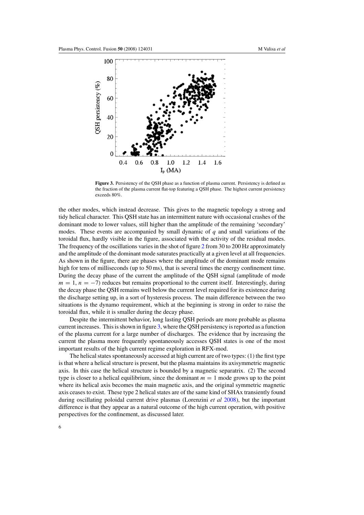<span id="page-6-0"></span>

**Figure 3.** Persistency of the QSH phase as a function of plasma current. Persistency is defined as the fraction of the plasma current flat-top featuring a QSH phase. The highest current persistency exceeds 80%.

the other modes, which instead decrease. This gives to the magnetic topology a strong and tidy helical character. This QSH state has an intermittent nature with occasional crashes of the dominant mode to lower values, still higher than the amplitude of the remaining 'secondary' modes. These events are accompanied by small dynamic of  $q$  and small variations of the toroidal flux, hardly visible in the figure, associated with the activity of the residual modes. The frequency of the oscillations varies in the shot of figure [2](#page-5-1) from 30 to 200 Hz approximately and the amplitude of the dominant mode saturates practically at a given level at all frequencies. As shown in the figure, there are phases where the amplitude of the dominant mode remains high for tens of milliseconds (up to 50 ms), that is several times the energy confinement time. During the decay phase of the current the amplitude of the QSH signal (amplitude of mode  $m = 1$ ,  $n = -7$ ) reduces but remains proportional to the current itself. Interestingly, during the decay phase the QSH remains well below the current level required for its existence during the discharge setting up, in a sort of hysteresis process. The main difference between the two situations is the dynamo requirement, which at the beginning is strong in order to raise the toroidal flux, while it is smaller during the decay phase.

Despite the intermittent behavior, long lasting QSH periods are more probable as plasma current increases. This is shown in figure [3,](#page-6-0) where the QSH persistency is reported as a function of the plasma current for a large number of discharges. The evidence that by increasing the current the plasma more frequently spontaneously accesses QSH states is one of the most important results of the high current regime exploration in RFX-mod.

The helical states spontaneously accessed at high current are of two types: (1) the first type is that where a helical structure is present, but the plasma maintains its axisymmetric magnetic axis. In this case the helical structure is bounded by a magnetic separatrix. (2) The second type is closer to a helical equilibrium, since the dominant  $m = 1$  mode grows up to the point where its helical axis becomes the main magnetic axis, and the original symmetric magnetic axis ceases to exist. These type 2 helical states are of the same kind of SHAx transiently found during oscillating poloidal current drive plasmas (Lorenzini *et al* [2008](#page-11-10)), but the important difference is that they appear as a natural outcome of the high current operation, with positive perspectives for the confinement, as discussed later.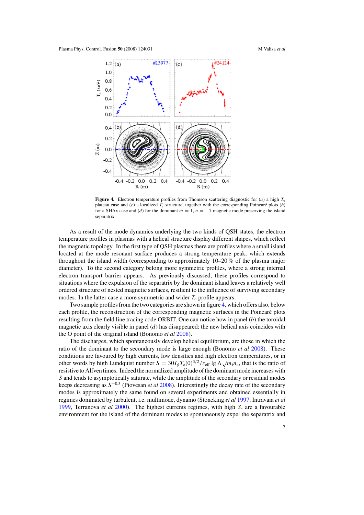<span id="page-7-0"></span>

**Figure 4.** Electron temperature profiles from Thomson scattering diagnostic for (*a*) a high  $T_e$ plateau case and  $(c)$  a localized  $T_e$  structure, together with the corresponding Poincaré plots  $(b)$ for a SHAx case and (d) for the dominant  $m = 1$ ,  $n = -7$  magnetic mode preserving the island separatrix.

As a result of the mode dynamics underlying the two kinds of QSH states, the electron temperature profiles in plasmas with a helical structure display different shapes, which reflect the magnetic topology. In the first type of QSH plasmas there are profiles where a small island located at the mode resonant surface produces a strong temperature peak, which extends throughout the island width (corresponding to approximately 10–20 % of the plasma major diameter). To the second category belong more symmetric profiles, where a strong internal electron transport barrier appears. As previously discussed, these profiles correspond to situations where the expulsion of the separatrix by the dominant island leaves a relatively well ordered structure of nested magnetic surfaces, resilient to the influence of surviving secondary modes. In the latter case a more symmetric and wider  $T<sub>e</sub>$  profile appears.

Two sample profiles from the two categories are shown in figure [4,](#page-7-0) which offers also, below each profile, the reconstruction of the corresponding magnetic surfaces in the Poincaré plots resulting from the field line tracing code ORBIT. One can notice how in panel  $(b)$  the toroidal magnetic axis clearly visible in panel  $(d)$  has disappeared: the new helical axis coincides with the O point of the original island (Bonomo *et al* [2008](#page-10-3)).

The discharges, which spontaneously develop helical equilibrium, are those in which the ratio of the dominant to the secondary mode is large enough (Bonomo *et al* [2008\)](#page-10-3). These conditions are favoured by high currents, low densities and high electron temperatures, or in other words by high Lundquist number  $S = 30I_{\phi}T_{e}(0)^{3/2}/z_{\text{eff}}$  lg  $\Lambda\sqrt{m_{\text{i}}n_{\text{e}}}$ , that is the ratio of resistive to Alfven times. Indeed the normalized amplitude of the dominant mode increases with S and tends to asymptotically saturate, while the amplitude of the secondary or residual modes keeps decreasing as S−0.<sup>3</sup> (Piovesan *et al* [2008](#page-11-23)). Interestingly the decay rate of the secondary modes is approximately the same found on several experiments and obtained essentially in regimes dominated by turbulent, i.e. multimode, dynamo (Stoneking *et al* [1997,](#page-11-24) Intravaia *et al* [1999,](#page-11-25) Terranova *et al* [2000\)](#page-11-26). The highest currents regimes, with high S, are a favourable environment for the island of the dominant modes to spontaneously expel the separatrix and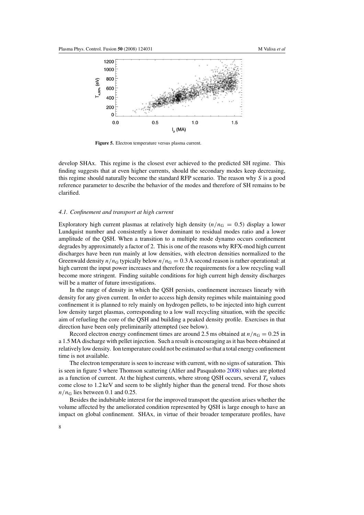<span id="page-8-0"></span>

**Figure 5.** Electron temperature versus plasma current.

develop SHAx. This regime is the closest ever achieved to the predicted SH regime. This finding suggests that at even higher currents, should the secondary modes keep decreasing, this regime should naturally become the standard RFP scenario. The reason why S is a good reference parameter to describe the behavior of the modes and therefore of SH remains to be clarified.

#### *4.1. Confinement and transport at high current*

Exploratory high current plasmas at relatively high density  $(n/n<sub>G</sub> = 0.5)$  display a lower Lundquist number and consistently a lower dominant to residual modes ratio and a lower amplitude of the QSH. When a transition to a multiple mode dynamo occurs confinement degrades by approximately a factor of 2. This is one of the reasons why RFX-mod high current discharges have been run mainly at low densities, with electron densities normalized to the Greenwald density  $n/n<sub>G</sub>$  typically below  $n/n<sub>G</sub> = 0.3$  A second reason is rather operational: at high current the input power increases and therefore the requirements for a low recycling wall become more stringent. Finding suitable conditions for high current high density discharges will be a matter of future investigations.

In the range of density in which the QSH persists, confinement increases linearly with density for any given current. In order to access high density regimes while maintaining good confinement it is planned to rely mainly on hydrogen pellets, to be injected into high current low density target plasmas, corresponding to a low wall recycling situation, with the specific aim of refueling the core of the QSH and building a peaked density profile. Exercises in that direction have been only preliminarily attempted (see below).

Record electron energy confinement times are around 2.5 ms obtained at  $n/n<sub>G</sub> = 0.25$  in a 1.5 MA discharge with pellet injection. Such a result is encouraging as it has been obtained at relatively low density. Ion temperature could not be estimated so that a total energy confinement time is not available.

The electron temperature is seen to increase with current, with no signs of saturation. This is seen in figure [5](#page-8-0) where Thomson scattering (Alfier and Pasqualotto [2008\)](#page-10-4) values are plotted as a function of current. At the highest currents, where strong QSH occurs, several  $T_e$  values come close to 1.2 keV and seem to be slightly higher than the general trend. For those shots  $n/n<sub>G</sub>$  lies between 0.1 and 0.25.

Besides the indubitable interest for the improved transport the question arises whether the volume affected by the ameliorated condition represented by QSH is large enough to have an impact on global confinement. SHAx, in virtue of their broader temperature profiles, have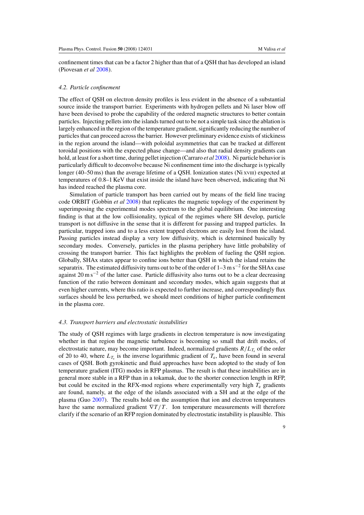confinement times that can be a factor 2 higher than that of a QSH that has developed an island (Piovesan *et al* [2008](#page-11-23)).

#### *4.2. Particle confinement*

The effect of QSH on electron density profiles is less evident in the absence of a substantial source inside the transport barrier. Experiments with hydrogen pellets and Ni laser blow off have been devised to probe the capability of the ordered magnetic structures to better contain particles. Injecting pellets into the islands turned out to be not a simple task since the ablation is largely enhanced in the region of the temperature gradient, significantly reducing the number of particles that can proceed across the barrier. However preliminary evidence exists of stickiness in the region around the island—with poloidal asymmetries that can be tracked at different toroidal positions with the expected phase change—and also that radial density gradients can hold, at least for a short time, during pellet injection (Carraro *et al* [2008](#page-11-27)). Ni particle behavior is particularly difficult to deconvolve because Ni confinement time into the discharge is typically longer (40–50 ms) than the average lifetime of a QSH. Ionization states (Ni XVIII) expected at temperatures of 0.8–1 KeV that exist inside the island have been observed, indicating that Ni has indeed reached the plasma core.

Simulation of particle transport has been carried out by means of the field line tracing code ORBIT (Gobbin *et al* [2008](#page-11-28)) that replicates the magnetic topology of the experiment by superimposing the experimental modes spectrum to the global equilibrium. One interesting finding is that at the low collisionality, typical of the regimes where SH develop, particle transport is not diffusive in the sense that it is different for passing and trapped particles. In particular, trapped ions and to a less extent trapped electrons are easily lost from the island. Passing particles instead display a very low diffusivity, which is determined basically by secondary modes. Conversely, particles in the plasma periphery have little probability of crossing the transport barrier. This fact highlights the problem of fueling the QSH region. Globally, SHAx states appear to confine ions better than QSH in which the island retains the separatrix. The estimated diffusivity turns out to be of the order of 1–3 m s<sup>-2</sup> for the SHAx case against  $20 \text{ m s}^{-2}$  of the latter case. Particle diffusivity also turns out to be a clear decreasing function of the ratio between dominant and secondary modes, which again suggests that at even higher currents, where this ratio is expected to further increase, and correspondingly flux surfaces should be less perturbed, we should meet conditions of higher particle confinement in the plasma core.

#### *4.3. Transport barriers and electrostatic instabilities*

The study of QSH regimes with large gradients in electron temperature is now investigating whether in that region the magnetic turbulence is becoming so small that drift modes, of electrostatic nature, may become important. Indeed, normalized gradients  $R/L<sub>T<sub>c</sub></sub>$  of the order of 20 to 40, where  $L_{T_e}$  is the inverse logarithmic gradient of  $T_e$ , have been found in several cases of QSH. Both gyrokinetic and fluid approaches have been adopted to the study of Ion temperature gradient (ITG) modes in RFP plasmas. The result is that these instabilities are in general more stable in a RFP than in a tokamak, due to the shorter connection length in RFP, but could be excited in the RFX-mod regions where experimentally very high  $T_e$  gradients are found, namely, at the edge of the islands associated with a SH and at the edge of the plasma (Guo [2007\)](#page-11-29). The results hold on the assumption that ion and electron temperatures have the same normalized gradient  $\nabla T/T$ . Ion temperature measurements will therefore clarify if the scenario of an RFP region dominated by electrostatic instability is plausible. This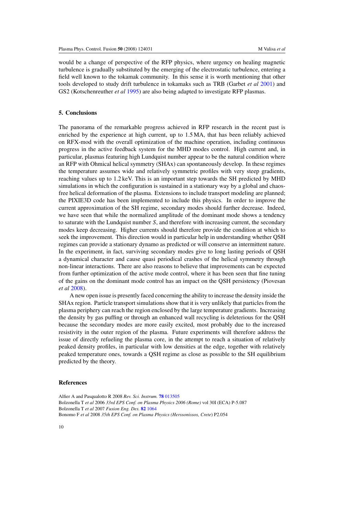<span id="page-10-0"></span>would be a change of perspective of the RFP physics, where urgency on healing magnetic turbulence is gradually substituted by the emerging of the electrostatic turbulence, entering a field well known to the tokamak community. In this sense it is worth mentioning that other tools developed to study drift turbulence in tokamaks such as TRB (Garbet *et al* [2001\)](#page-11-30) and GS2 (Kotschenreuther *et al* [1995](#page-11-31)) are also being adapted to investigate RFP plasmas.

### **5. Conclusions**

The panorama of the remarkable progress achieved in RFP research in the recent past is enriched by the experience at high current, up to 1.5 MA, that has been reliably achieved on RFX-mod with the overall optimization of the machine operation, including continuous progress in the active feedback system for the MHD modes control. High current and, in particular, plasmas featuring high Lundquist number appear to be the natural condition where an RFP with Ohmical helical symmetry (SHAx) can spontaneously develop. In these regimes the temperature assumes wide and relatively symmetric profiles with very steep gradients, reaching values up to 1.2 keV. This is an important step towards the SH predicted by MHD simulations in which the configuration is sustained in a stationary way by a global and chaosfree helical deformation of the plasma. Extensions to include transport modeling are planned; the PIXIE3D code has been implemented to include this physics. In order to improve the current approximation of the SH regime, secondary modes should further decrease. Indeed, we have seen that while the normalized amplitude of the dominant mode shows a tendency to saturate with the Lundquist number  $S$ , and therefore with increasing current, the secondary modes keep decreasing. Higher currents should therefore provide the condition at which to seek the improvement. This direction would in particular help in understanding whether QSH regimes can provide a stationary dynamo as predicted or will conserve an intermittent nature. In the experiment, in fact, surviving secondary modes give to long lasting periods of QSH a dynamical character and cause quasi periodical crashes of the helical symmetry through non-linear interactions. There are also reasons to believe that improvements can be expected from further optimization of the active mode control, where it has been seen that fine tuning of the gains on the dominant mode control has an impact on the QSH persistency (Piovesan *et al* [2008\)](#page-11-23).

A new open issue is presently faced concerning the ability to increase the density inside the SHAx region. Particle transport simulations show that it is very unlikely that particles from the plasma periphery can reach the region enclosed by the large temperature gradients. Increasing the density by gas puffing or through an enhanced wall recycling is deleterious for the QSH because the secondary modes are more easily excited, most probably due to the increased resistivity in the outer region of the plasma. Future experiments will therefore address the issue of directly refueling the plasma core, in the attempt to reach a situation of relatively peaked density profiles, in particular with low densities at the edge, together with relatively peaked temperature ones, towards a QSH regime as close as possible to the SH equilibrium predicted by the theory.

# <span id="page-10-4"></span><span id="page-10-3"></span><span id="page-10-2"></span><span id="page-10-1"></span>**References**

Alfier A and Pasqualotto R 2008 *Rev. Sci. Instrum.* **78** [013505](http://dx.doi.org/10.1063/1.2431769) Bolzonella T *et al* 2006 *33rd EPS Conf. on Plasma Physics 2006 (Rome)* vol 30I (ECA) P-5.087 Bolzonella T *et al* 2007 *Fusion Eng. Des.* **82** [1064](http://dx.doi.org/10.1016/j.fusengdes.2007.05.020) Bonomo F *et al* 2008 *35th EPS Conf. on Plasma Physics (Herssonissos, Crete*) P2.054